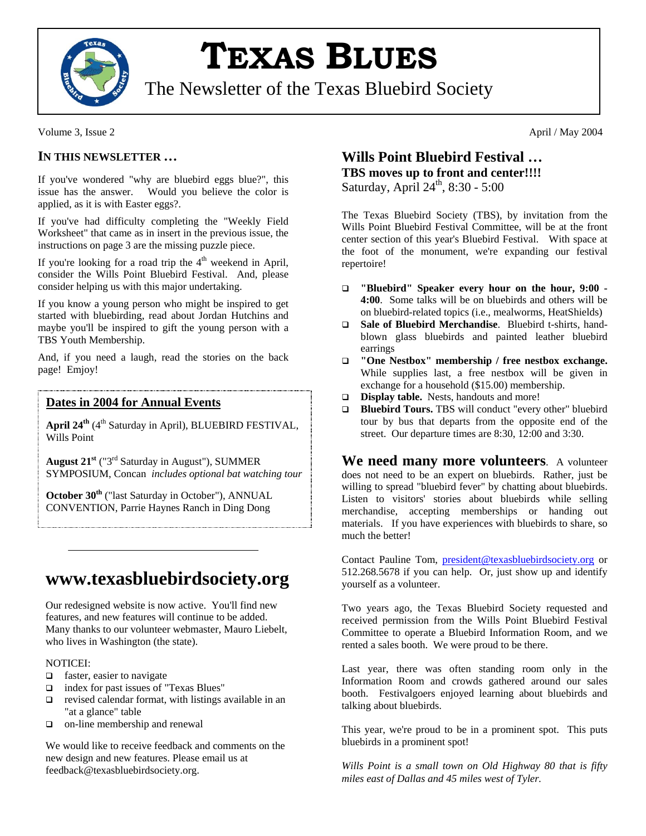

# **TEXAS BLUES**

The Newsletter of the Texas Bluebird Society

#### Volume 3, Issue 2 April / May 2004

#### **IN THIS NEWSLETTER …**

If you've wondered "why are bluebird eggs blue?", this issue has the answer. Would you believe the color is applied, as it is with Easter eggs?.

If you've had difficulty completing the "Weekly Field Worksheet" that came as in insert in the previous issue, the instructions on page 3 are the missing puzzle piece.

If you're looking for a road trip the  $4<sup>th</sup>$  weekend in April, consider the Wills Point Bluebird Festival. And, please consider helping us with this major undertaking.

If you know a young person who might be inspired to get started with bluebirding, read about Jordan Hutchins and maybe you'll be inspired to gift the young person with a TBS Youth Membership.

And, if you need a laugh, read the stories on the back page! Emjoy!

#### **Dates in 2004 for Annual Events**

April 24<sup>th</sup> (4<sup>th</sup> Saturday in April), BLUEBIRD FESTIVAL, Wills Point

**August 21st** ("3rd Saturday in August"), SUMMER SYMPOSIUM, Concan *includes optional bat watching tour*

**October 30<sup>th</sup>** ("last Saturday in October"), ANNUAL CONVENTION, Parrie Haynes Ranch in Ding Dong

# **www.texasbluebirdsociety.org**

Our redesigned website is now active. You'll find new features, and new features will continue to be added. Many thanks to our volunteer webmaster, Mauro Liebelt, who lives in Washington (the state).

#### NOTICEI:

- $\Box$  faster, easier to navigate
- index for past issues of "Texas Blues"
- $\Box$  revised calendar format, with listings available in an "at a glance" table
- on-line membership and renewal

We would like to receive feedback and comments on the new design and new features. Please email us at feedback@texasbluebirdsociety.org.

### **Wills Point Bluebird Festival … TBS moves up to front and center!!!!** Saturday, April  $24^{\text{th}}$ , 8:30 - 5:00

The Texas Bluebird Society (TBS), by invitation from the Wills Point Bluebird Festival Committee, will be at the front center section of this year's Bluebird Festival. With space at the foot of the monument, we're expanding our festival repertoire!

- **"Bluebird" Speaker every hour on the hour, 9:00 - 4:00**. Some talks will be on bluebirds and others will be on bluebird-related topics (i.e., mealworms, HeatShields)
- **Sale of Bluebird Merchandise**. Bluebird t-shirts, handblown glass bluebirds and painted leather bluebird earrings
- **"One Nestbox" membership / free nestbox exchange.** While supplies last, a free nestbox will be given in exchange for a household (\$15.00) membership.
- **Display table.** Nests, handouts and more!
- **Bluebird Tours.** TBS will conduct "every other" bluebird tour by bus that departs from the opposite end of the street. Our departure times are 8:30, 12:00 and 3:30.

**We need many more volunteers**. A volunteer does not need to be an expert on bluebirds. Rather, just be willing to spread "bluebird fever" by chatting about bluebirds. Listen to visitors' stories about bluebirds while selling merchandise, accepting memberships or handing out materials. If you have experiences with bluebirds to share, so much the better!

Contact Pauline Tom, [president@texasbluebirdsociety.org](mailto:president@texasbluebirdsociety.org) or 512.268.5678 if you can help. Or, just show up and identify yourself as a volunteer.

Two years ago, the Texas Bluebird Society requested and received permission from the Wills Point Bluebird Festival Committee to operate a Bluebird Information Room, and we rented a sales booth. We were proud to be there.

Last year, there was often standing room only in the Information Room and crowds gathered around our sales booth. Festivalgoers enjoyed learning about bluebirds and talking about bluebirds.

This year, we're proud to be in a prominent spot. This puts bluebirds in a prominent spot!

*Wills Point is a small town on Old Highway 80 that is fifty miles east of Dallas and 45 miles west of Tyler.*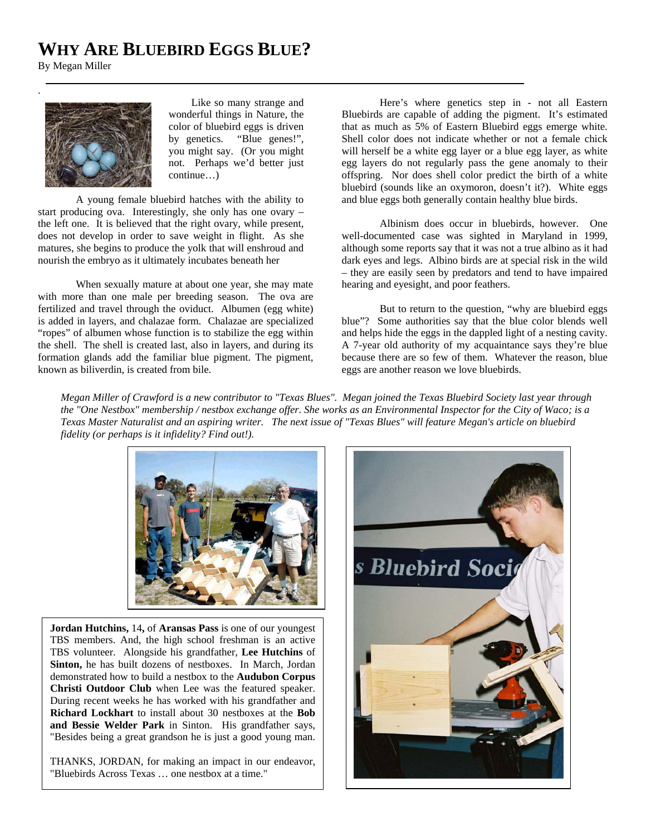# **WHY ARE BLUEBIRD EGGS BLUE?**

By Megan Miller



 Like so many strange and wonderful things in Nature, the color of bluebird eggs is driven by genetics. "Blue genes!", you might say. (Or you might not. Perhaps we'd better just continue…)

A young female bluebird hatches with the ability to start producing ova. Interestingly, she only has one ovary – the left one. It is believed that the right ovary, while present, does not develop in order to save weight in flight. As she matures, she begins to produce the yolk that will enshroud and nourish the embryo as it ultimately incubates beneath her

When sexually mature at about one year, she may mate with more than one male per breeding season. The ova are fertilized and travel through the oviduct. Albumen (egg white) is added in layers, and chalazae form. Chalazae are specialized "ropes" of albumen whose function is to stabilize the egg within the shell. The shell is created last, also in layers, and during its formation glands add the familiar blue pigment. The pigment, known as biliverdin, is created from bile.

Here's where genetics step in - not all Eastern Bluebirds are capable of adding the pigment. It's estimated that as much as 5% of Eastern Bluebird eggs emerge white. Shell color does not indicate whether or not a female chick will herself be a white egg layer or a blue egg layer, as white egg layers do not regularly pass the gene anomaly to their offspring. Nor does shell color predict the birth of a white bluebird (sounds like an oxymoron, doesn't it?). White eggs and blue eggs both generally contain healthy blue birds.

Albinism does occur in bluebirds, however. One well-documented case was sighted in Maryland in 1999, although some reports say that it was not a true albino as it had dark eyes and legs. Albino birds are at special risk in the wild – they are easily seen by predators and tend to have impaired hearing and eyesight, and poor feathers.

But to return to the question, "why are bluebird eggs blue"? Some authorities say that the blue color blends well and helps hide the eggs in the dappled light of a nesting cavity. A 7-year old authority of my acquaintance says they're blue because there are so few of them. Whatever the reason, blue eggs are another reason we love bluebirds.

*Megan Miller of Crawford is a new contributor to "Texas Blues". Megan joined the Texas Bluebird Society last year through the "One Nestbox" membership / nestbox exchange offer. She works as an Environmental Inspector for the City of Waco; is a Texas Master Naturalist and an aspiring writer. The next issue of "Texas Blues" will feature Megan's article on bluebird fidelity (or perhaps is it infidelity? Find out!).*



**Jordan Hutchins,** 14**,** of **Aransas Pass** is one of our youngest TBS members. And, the high school freshman is an active TBS volunteer. Alongside his grandfather, **Lee Hutchins** of **Sinton,** he has built dozens of nestboxes. In March, Jordan demonstrated how to build a nestbox to the **Audubon Corpus Christi Outdoor Club** when Lee was the featured speaker. During recent weeks he has worked with his grandfather and **Richard Lockhart** to install about 30 nestboxes at the **Bob and Bessie Welder Park** in Sinton. His grandfather says, "Besides being a great grandson he is just a good young man.

THANKS, JORDAN, for making an impact in our endeavor, "Bluebirds Across Texas … one nestbox at a time."

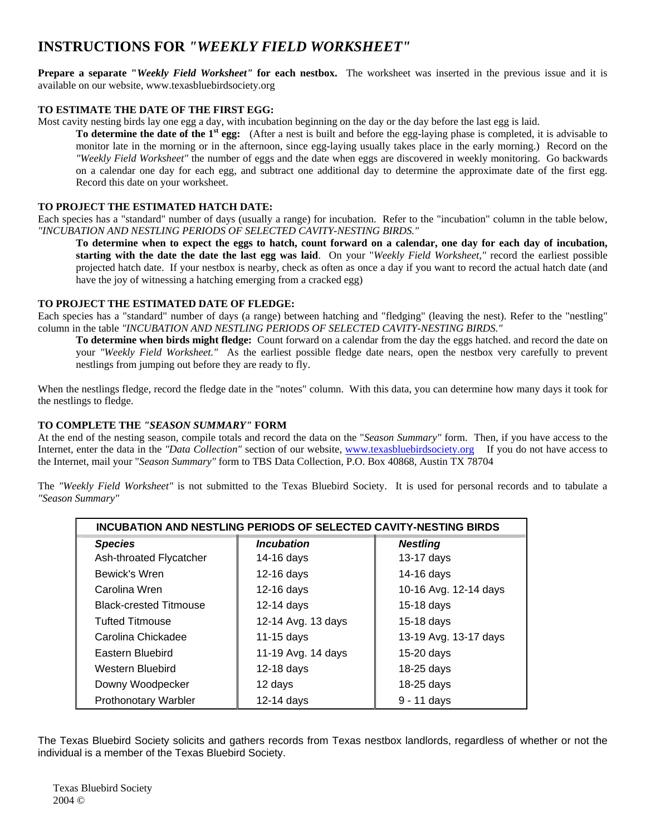## **INSTRUCTIONS FOR** *"WEEKLY FIELD WORKSHEET"*

**Prepare a separate "***Weekly Field Worksheet"* **for each nestbox.** The worksheet was inserted in the previous issue and it is available on our website, www.texasbluebirdsociety.org

#### **TO ESTIMATE THE DATE OF THE FIRST EGG:**

Most cavity nesting birds lay one egg a day, with incubation beginning on the day or the day before the last egg is laid.

**To determine the date of the 1st egg:** (After a nest is built and before the egg-laying phase is completed, it is advisable to monitor late in the morning or in the afternoon, since egg-laying usually takes place in the early morning.) Record on the *"Weekly Field Worksheet"* the number of eggs and the date when eggs are discovered in weekly monitoring. Go backwards on a calendar one day for each egg, and subtract one additional day to determine the approximate date of the first egg. Record this date on your worksheet.

#### **TO PROJECT THE ESTIMATED HATCH DATE:**

Each species has a "standard" number of days (usually a range) for incubation. Refer to the "incubation" column in the table below, *"INCUBATION AND NESTLING PERIODS OF SELECTED CAVITY-NESTING BIRDS."*

**To determine when to expect the eggs to hatch, count forward on a calendar, one day for each day of incubation, starting with the date the date the last egg was laid**. On your "*Weekly Field Worksheet,"* record the earliest possible projected hatch date. If your nestbox is nearby, check as often as once a day if you want to record the actual hatch date (and have the joy of witnessing a hatching emerging from a cracked egg)

#### **TO PROJECT THE ESTIMATED DATE OF FLEDGE:**

Each species has a "standard" number of days (a range) between hatching and "fledging" (leaving the nest). Refer to the "nestling" column in the table *"INCUBATION AND NESTLING PERIODS OF SELECTED CAVITY-NESTING BIRDS."*

**To determine when birds might fledge:** Count forward on a calendar from the day the eggs hatched. and record the date on your *"Weekly Field Worksheet."* As the earliest possible fledge date nears, open the nestbox very carefully to prevent nestlings from jumping out before they are ready to fly.

When the nestlings fledge, record the fledge date in the "notes" column. With this data, you can determine how many days it took for the nestlings to fledge.

#### **TO COMPLETE THE** *"SEASON SUMMARY"* **FORM**

At the end of the nesting season, compile totals and record the data on the "*Season Summary"* form. Then, if you have access to the Internet, enter the data in the *"Data Collection"* section of our website, [www.texasbluebirdsociety.org](http://www.texasbluebirdsociety.org/) If you do not have access to the Internet, mail your "*Season Summary"* form to TBS Data Collection, P.O. Box 40868, Austin TX 78704

The *"Weekly Field Worksheet"* is not submitted to the Texas Bluebird Society. It is used for personal records and to tabulate a *"Season Summary"*

| <b>INCUBATION AND NESTLING PERIODS OF SELECTED CAVITY-NESTING BIRDS</b> |                    |                       |  |  |  |  |
|-------------------------------------------------------------------------|--------------------|-----------------------|--|--|--|--|
| <b>Species</b>                                                          | <b>Incubation</b>  | <b>Nestling</b>       |  |  |  |  |
| Ash-throated Flycatcher                                                 | 14-16 days         | 13-17 days            |  |  |  |  |
| Bewick's Wren                                                           | 12-16 days         | 14-16 days            |  |  |  |  |
| Carolina Wren                                                           | 12-16 days         | 10-16 Avg. 12-14 days |  |  |  |  |
| <b>Black-crested Titmouse</b>                                           | $12-14$ days       | $15-18$ days          |  |  |  |  |
| <b>Tufted Titmouse</b>                                                  | 12-14 Avg. 13 days | 15-18 days            |  |  |  |  |
| Carolina Chickadee                                                      | 11-15 days         | 13-19 Avg. 13-17 days |  |  |  |  |
| Eastern Bluebird                                                        | 11-19 Avg. 14 days | 15-20 days            |  |  |  |  |
| Western Bluebird                                                        | 12-18 days         | 18-25 days            |  |  |  |  |
| Downy Woodpecker                                                        | 12 days            | 18-25 days            |  |  |  |  |
| <b>Prothonotary Warbler</b>                                             | 12-14 days         | 9 - 11 days           |  |  |  |  |

The Texas Bluebird Society solicits and gathers records from Texas nestbox landlords, regardless of whether or not the individual is a member of the Texas Bluebird Society.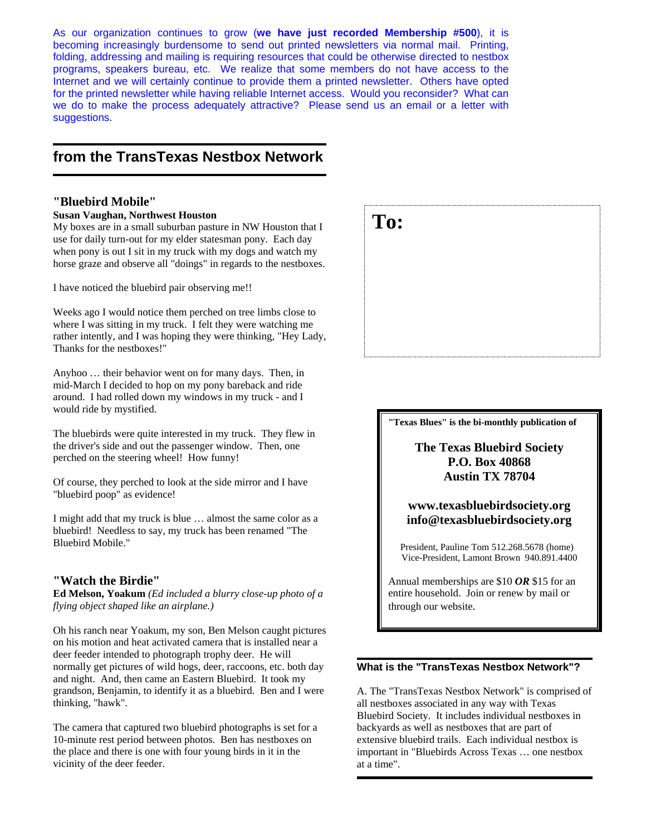As our organization continues to grow (**we have just recorded Membership #500**), it is becoming increasingly burdensome to send out printed newsletters via normal mail. Printing, folding, addressing and mailing is requiring resources that could be otherwise directed to nestbox programs, speakers bureau, etc. We realize that some members do not have access to the Internet and we will certainly continue to provide them a printed newsletter. Others have opted for the printed newsletter while having reliable Internet access. Would you reconsider? What can we do to make the process adequately attractive? Please send us an email or a letter with suggestions.

## **from the TransTexas Nestbox Network**

#### **"Bluebird Mobile"**

**Susan Vaughan, Northwest Houston** 

My boxes are in a small suburban pasture in NW Houston that I use for daily turn-out for my elder statesman pony. Each day when pony is out I sit in my truck with my dogs and watch my horse graze and observe all "doings" in regards to the nestboxes.

I have noticed the bluebird pair observing me!!

Weeks ago I would notice them perched on tree limbs close to where I was sitting in my truck. I felt they were watching me rather intently, and I was hoping they were thinking, "Hey Lady, Thanks for the nestboxes!"

Anyhoo … their behavior went on for many days. Then, in mid-March I decided to hop on my pony bareback and ride around. I had rolled down my windows in my truck - and I would ride by mystified.

The bluebirds were quite interested in my truck. They flew in the driver's side and out the passenger window. Then, one perched on the steering wheel! How funny!

Of course, they perched to look at the side mirror and I have "bluebird poop" as evidence!

I might add that my truck is blue … almost the same color as a bluebird! Needless to say, my truck has been renamed "The Bluebird Mobile."

#### **"Watch the Birdie"**

**Ed Melson, Yoakum** *(Ed included a blurry close-up photo of a flying object shaped like an airplane.)*

Oh his ranch near Yoakum, my son, Ben Melson caught pictures on his motion and heat activated camera that is installed near a deer feeder intended to photograph trophy deer. He will normally get pictures of wild hogs, deer, raccoons, etc. both day and night. And, then came an Eastern Bluebird. It took my grandson, Benjamin, to identify it as a bluebird. Ben and I were thinking, "hawk".

The camera that captured two bluebird photographs is set for a 10-minute rest period between photos. Ben has nestboxes on the place and there is one with four young birds in it in the vicinity of the deer feeder.



**"Texas Blues" is the bi-monthly publication of** 

**The Texas Bluebird Society P.O. Box 40868 Austin TX 78704** 

**www.texasbluebirdsociety.org info@texasbluebirdsociety.org** 

President, Pauline Tom 512.268.5678 (home) Vice-President, Lamont Brown 940.891.4400

Annual memberships are \$10 *OR* \$15 for an entire household. Join or renew by mail or through our website.

#### **What is the "TransTexas Nestbox Network"?**

A. The "TransTexas Nestbox Network" is comprised of all nestboxes associated in any way with Texas Bluebird Society. It includes individual nestboxes in backyards as well as nestboxes that are part of extensive bluebird trails. Each individual nestbox is important in "Bluebirds Across Texas … one nestbox at a time".